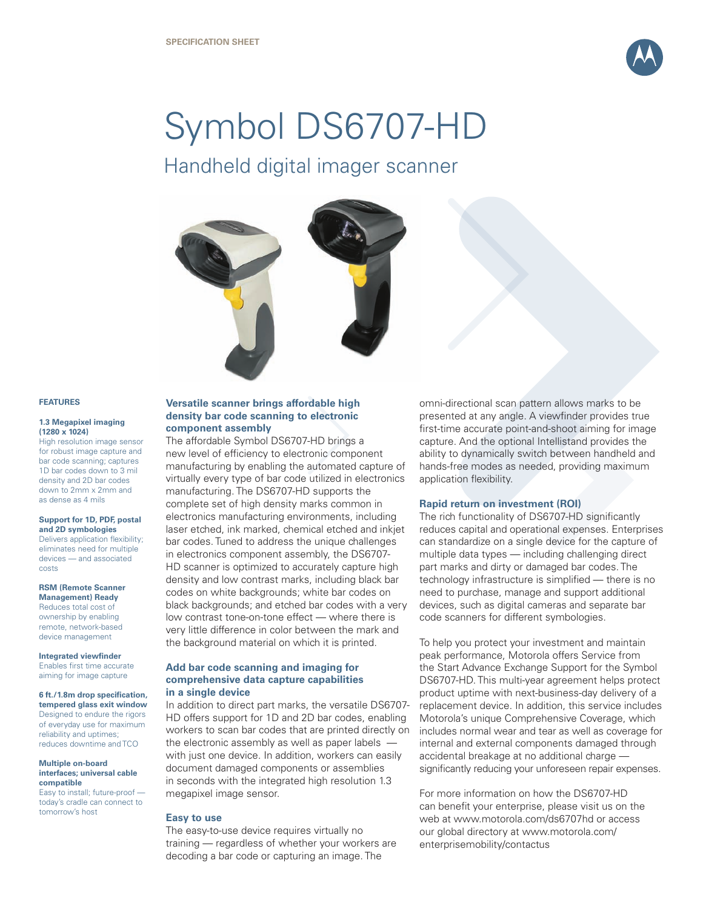

# Symbol DS6707-HD

Handheld digital imager scanner



#### **FEATURES**

#### **1.3 Megapixel imaging (1280 x 1024)**

High resolution image sensor for robust image capture and bar code scanning; captures 1D bar codes down to 3 mil density and 2D bar codes down to 2mm x 2mm and as dense as 4 mils

#### **Support for 1D, PDF, postal and 2D symbologies**

Delivers application flexibility; eliminates need for multiple devices — and associated costs

#### **RSM (Remote Scanner Management) Ready**

Reduces total cost of ownership by enabling remote, network-based device management

#### **Integrated viewfinder**

Enables first time accurate aiming for image capture

## **6 ft./1.8m drop specification,**

**tempered glass exit window** Designed to endure the rigors of everyday use for maximum reliability and uptimes; reduces downtime and TCO

#### **Multiple on-board interfaces; universal cable compatible**

Easy to install; future-proof today's cradle can connect to tomorrow's host

## **Versatile scanner brings affordable high density bar code scanning to electronic component assembly**

The affordable Symbol DS6707-HD brings a new level of efficiency to electronic component manufacturing by enabling the automated capture of virtually every type of bar code utilized in electronics manufacturing. The DS6707-HD supports the complete set of high density marks common in electronics manufacturing environments, including laser etched, ink marked, chemical etched and inkjet bar codes. Tuned to address the unique challenges in electronics component assembly, the DS6707- HD scanner is optimized to accurately capture high density and low contrast marks, including black bar codes on white backgrounds; white bar codes on black backgrounds; and etched bar codes with a very low contrast tone-on-tone effect — where there is very little difference in color between the mark and the background material on which it is printed.

## **Add bar code scanning and imaging for comprehensive data capture capabilities in a single device**

In addition to direct part marks, the versatile DS6707- HD offers support for 1D and 2D bar codes, enabling workers to scan bar codes that are printed directly on the electronic assembly as well as paper labels with just one device. In addition, workers can easily document damaged components or assemblies in seconds with the integrated high resolution 1.3 megapixel image sensor.

## **Easy to use**

The easy-to-use device requires virtually no training — regardless of whether your workers are decoding a bar code or capturing an image. The

omni-directional scan pattern allows marks to be presented at any angle. A viewfinder provides true first-time accurate point-and-shoot aiming for image capture. And the optional Intellistand provides the ability to dynamically switch between handheld and hands-free modes as needed, providing maximum application flexibility.

## **Rapid return on investment (ROI)**

The rich functionality of DS6707-HD significantly reduces capital and operational expenses. Enterprises can standardize on a single device for the capture of multiple data types — including challenging direct part marks and dirty or damaged bar codes. The technology infrastructure is simplified — there is no need to purchase, manage and support additional devices, such as digital cameras and separate bar code scanners for different symbologies.

To help you protect your investment and maintain peak performance, Motorola offers Service from the Start Advance Exchange Support for the Symbol DS6707-HD. This multi-year agreement helps protect product uptime with next-business-day delivery of a replacement device. In addition, this service includes Motorola's unique Comprehensive Coverage, which includes normal wear and tear as well as coverage for internal and external components damaged through accidental breakage at no additional charge significantly reducing your unforeseen repair expenses.

For more information on how the DS6707-HD can benefit your enterprise, please visit us on the web at www.motorola.com/ds6707hd or access our global directory at www.motorola.com/ enterprisemobility/contactus